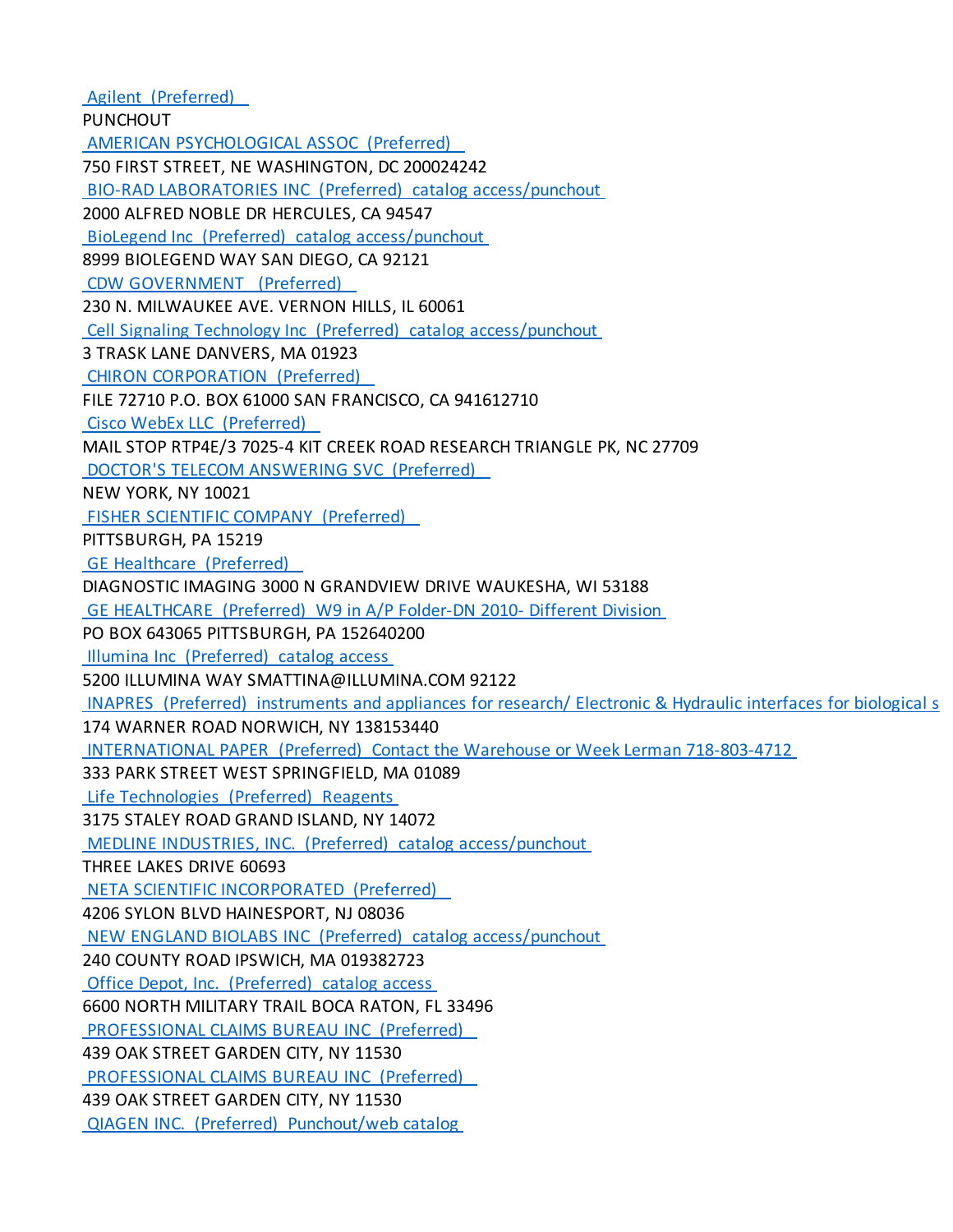Agilent (Preferred) **PUNCHOUT**  AMERICAN PSYCHOLOGICAL ASSOC (Preferred) 750 FIRST STREET, NE WASHINGTON, DC 200024242 BIO-RAD LABORATORIES INC (Preferred) catalog access/punchout 2000 ALFRED NOBLE DR HERCULES, CA 94547 BioLegend Inc (Preferred) catalog access/punchout 8999 BIOLEGEND WAY SAN DIEGO, CA 92121 CDW GOVERNMENT (Preferred) 230 N. MILWAUKEE AVE. VERNON HILLS, IL 60061 Cell Signaling Technology Inc (Preferred) catalog access/punchout 3 TRASK LANE DANVERS, MA 01923 CHIRON CORPORATION (Preferred) FILE 72710 P.O. BOX 61000 SAN FRANCISCO, CA 941612710 Cisco WebEx LLC (Preferred) MAIL STOP RTP4E/3 7025-4 KIT CREEK ROAD RESEARCH TRIANGLE PK, NC 27709 DOCTOR'S TELECOM ANSWERING SVC (Preferred) NEW YORK, NY 10021 FISHER SCIENTIFIC COMPANY (Preferred) PITTSBURGH, PA 15219 GE Healthcare (Preferred) DIAGNOSTIC IMAGING 3000 N GRANDVIEW DRIVE WAUKESHA, WI 53188 GE HEALTHCARE (Preferred) W9 in A/P Folder-DN 2010- Different Division PO BOX 643065 PITTSBURGH, PA 152640200 Illumina Inc (Preferred) catalog access 5200 ILLUMINA WAY SMATTINA@ILLUMINA.COM 92122 INAPRES (Preferred) instruments and appliances for research/ Electronic & Hydraulic interfaces for biological s 174 WARNER ROAD NORWICH, NY 138153440 INTERNATIONAL PAPER (Preferred) Contact the Warehouse or Week Lerman 718-803-4712 333 PARK STREET WEST SPRINGFIELD, MA 01089 Life Technologies (Preferred) Reagents 3175 STALEY ROAD GRAND ISLAND, NY 14072 MEDLINE INDUSTRIES, INC. (Preferred) catalog access/punchout THREE LAKES DRIVE 60693 NETA SCIENTIFIC INCORPORATED (Preferred) 4206 SYLON BLVD HAINESPORT, NJ 08036 NEW ENGLAND BIOLABS INC (Preferred) catalog access/punchout 240 COUNTY ROAD IPSWICH, MA 019382723 Office Depot, Inc. (Preferred) catalog access 6600 NORTH MILITARY TRAIL BOCA RATON, FL 33496 PROFESSIONAL CLAIMS BUREAU INC (Preferred) 439 OAK STREET GARDEN CITY, NY 11530 PROFESSIONAL CLAIMS BUREAU INC (Preferred) 439 OAK STREET GARDEN CITY, NY 11530 QIAGEN INC. (Preferred) Punchout/web catalog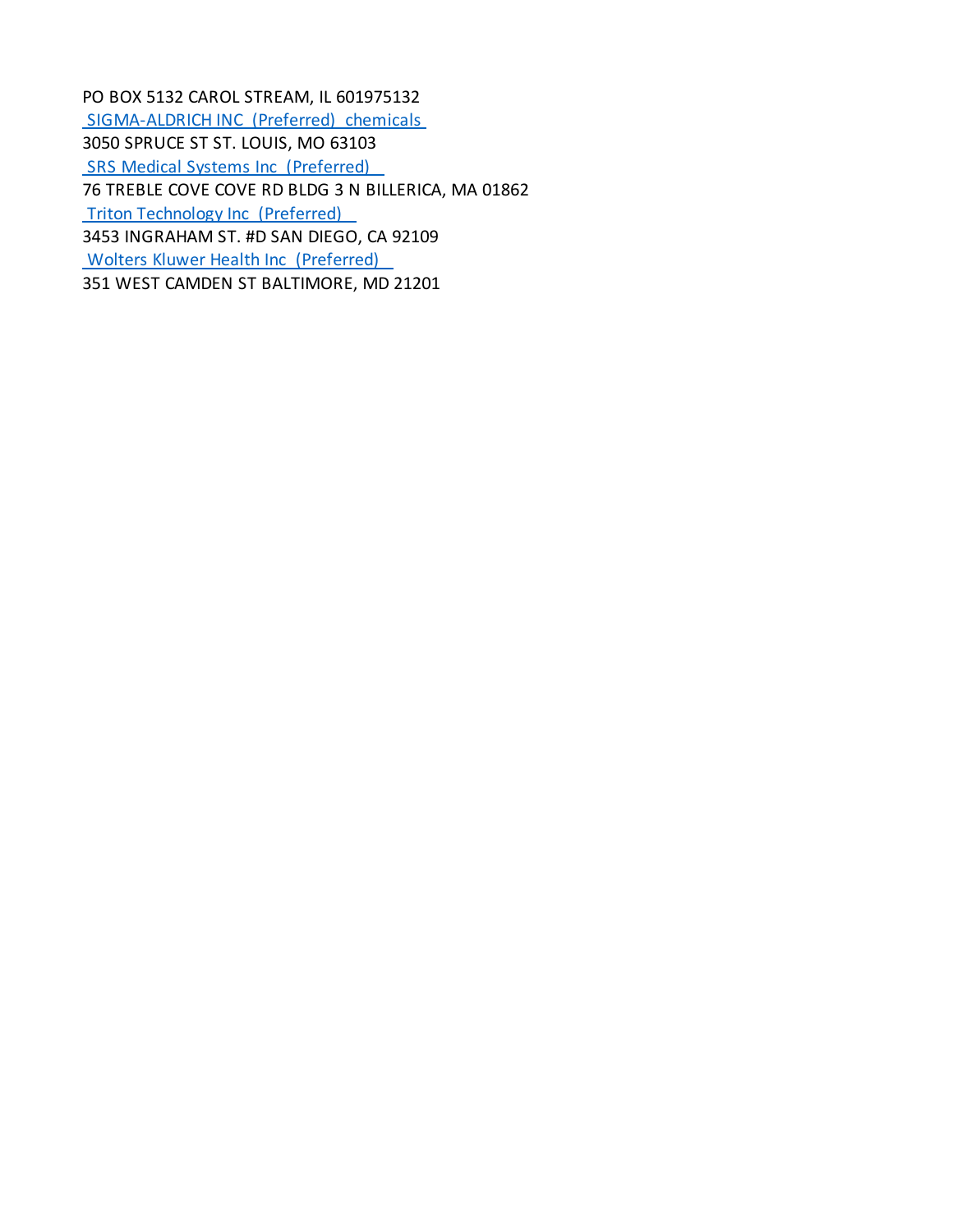PO BOX 5132 CAROL STREAM, IL 601975132 SIGMA-ALDRICH INC (Preferred) chemicals 3050 SPRUCE ST ST. LOUIS, MO 63103 SRS Medical Systems Inc (Preferred) 76 TREBLE COVE COVE RD BLDG 3 N BILLERICA, MA 01862 Triton Technology Inc (Preferred) 3453 INGRAHAM ST. #D SAN DIEGO, CA 92109 Wolters Kluwer Health Inc (Preferred) 351 WEST CAMDEN ST BALTIMORE, MD 21201